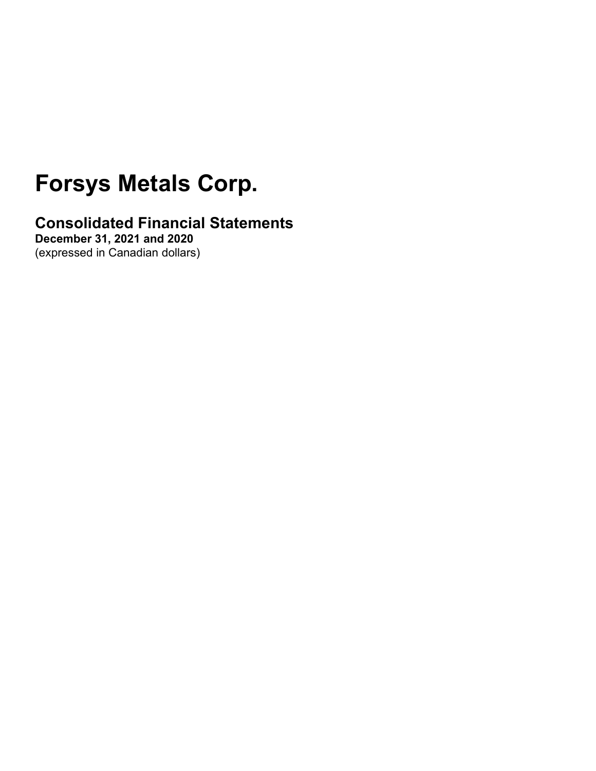# **Forsys Metals Corp.**

**Consolidated Financial Statements**

**December 31, 2021 and 2020** (expressed in Canadian dollars)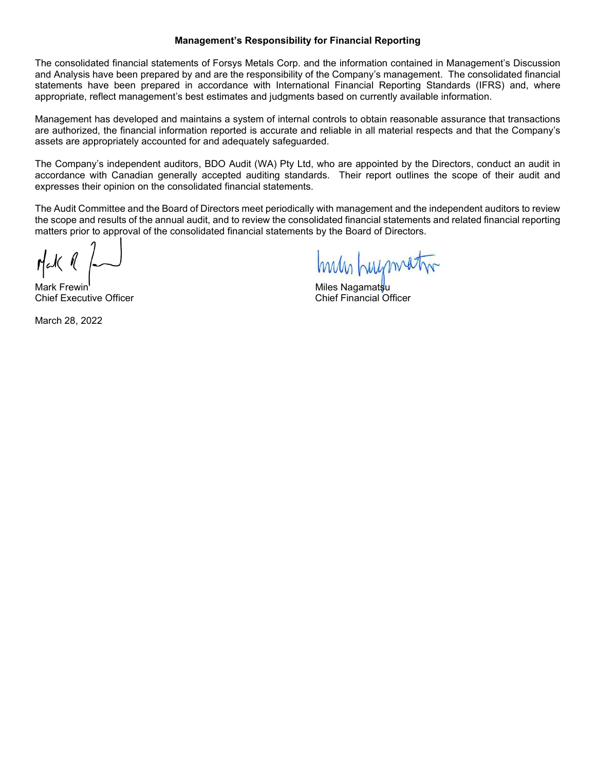#### **Management's Responsibility for Financial Reporting**

The consolidated financial statements of Forsys Metals Corp. and the information contained in Management's Discussion and Analysis have been prepared by and are the responsibility of the Company's management. The consolidated financial statements have been prepared in accordance with International Financial Reporting Standards (IFRS) and, where appropriate, reflect management's best estimates and judgments based on currently available information.

Management has developed and maintains a system of internal controls to obtain reasonable assurance that transactions are authorized, the financial information reported is accurate and reliable in all material respects and that the Company's assets are appropriately accounted for and adequately safeguarded.

The Company's independent auditors, BDO Audit (WA) Pty Ltd, who are appointed by the Directors, conduct an audit in accordance with Canadian generally accepted auditing standards. Their report outlines the scope of their audit and expresses their opinion on the consolidated financial statements.

The Audit Committee and the Board of Directors meet periodically with management and the independent auditors to review the scope and results of the annual audit, and to review the consolidated financial statements and related financial reporting matters prior to approval of the consolidated financial statements by the Board of Directors.

Mark Frewin Miles Nagamatsu **Chief Executive Officer** 

March 28, 2022

Inus Luzmatin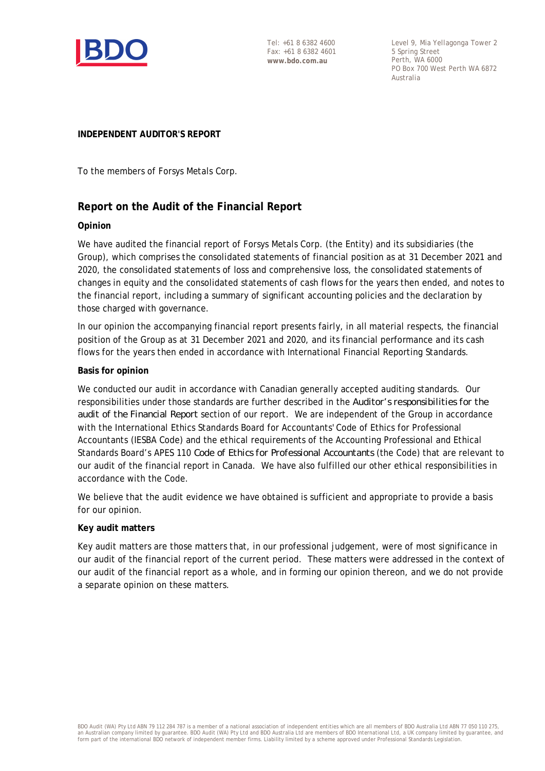

Tel: +61 8 6382 4600 Fax: +61 8 6382 4601 **www.bdo.com.au**

Level 9, Mia Yellagonga Tower 2 5 Spring Street Perth, WA 6000 PO Box 700 West Perth WA 6872 Australia

### **INDEPENDENT AUDITOR'S REPORT**

To the members of Forsys Metals Corp.

### **Report on the Audit of the Financial Report**

### **Opinion**

We have audited the financial report of Forsys Metals Corp. (the Entity) and its subsidiaries (the Group), which comprises the consolidated statements of financial position as at 31 December 2021 and 2020, the consolidated statements of loss and comprehensive loss, the consolidated statements of changes in equity and the consolidated statements of cash flows for the years then ended, and notes to the financial report, including a summary of significant accounting policies and the declaration by those charged with governance.

In our opinion the accompanying financial report presents fairly, in all material respects, the financial position of the Group as at 31 December 2021 and 2020, and its financial performance and its cash flows for the years then ended in accordance with International Financial Reporting Standards.

### **Basis for opinion**

We conducted our audit in accordance with Canadian generally accepted auditing standards. Our responsibilities under those standards are further described in the *Auditor's responsibilities for the audit of the Financial Report* section of our report. We are independent of the Group in accordance with the International Ethics Standards Board for Accountants' Code of Ethics for Professional Accountants (IESBA Code) and the ethical requirements of the Accounting Professional and Ethical Standards Board's APES 110 *Code of Ethics for Professional Accountants* (the Code) that are relevant to our audit of the financial report in Canada. We have also fulfilled our other ethical responsibilities in accordance with the Code.

We believe that the audit evidence we have obtained is sufficient and appropriate to provide a basis for our opinion.

### **Key audit matters**

Key audit matters are those matters that, in our professional judgement, were of most significance in our audit of the financial report of the current period. These matters were addressed in the context of our audit of the financial report as a whole, and in forming our opinion thereon, and we do not provide a separate opinion on these matters.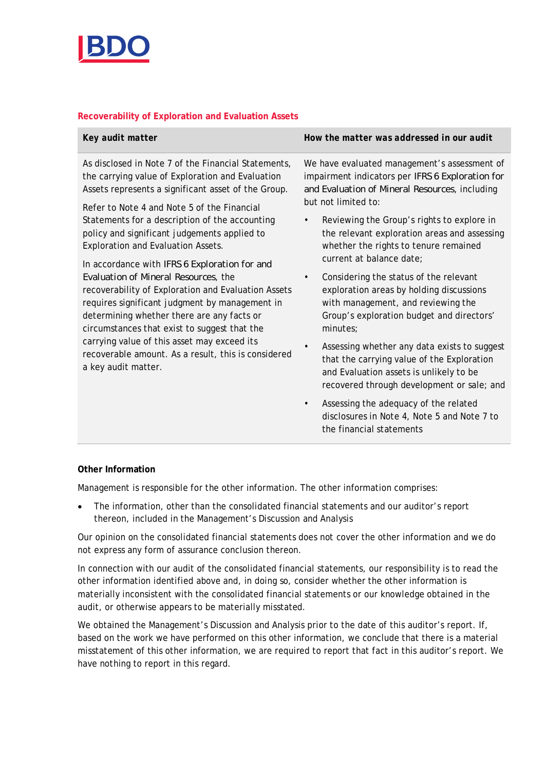

### **Recoverability of Exploration and Evaluation Assets**

| Key audit matter                                                                                                                                                                                                                                                                                                                                                                                                          | How the matter was addressed in our audit                                                                                                                                                      |
|---------------------------------------------------------------------------------------------------------------------------------------------------------------------------------------------------------------------------------------------------------------------------------------------------------------------------------------------------------------------------------------------------------------------------|------------------------------------------------------------------------------------------------------------------------------------------------------------------------------------------------|
| As disclosed in Note 7 of the Financial Statements,<br>the carrying value of Exploration and Evaluation<br>Assets represents a significant asset of the Group.<br>Refer to Note 4 and Note 5 of the Financial                                                                                                                                                                                                             | We have evaluated management's assessment of<br>impairment indicators per IFRS 6 Exploration for<br>and Evaluation of Mineral Resources, including<br>but not limited to:                      |
| Statements for a description of the accounting<br>policy and significant judgements applied to<br>Exploration and Evaluation Assets.                                                                                                                                                                                                                                                                                      | Reviewing the Group's rights to explore in<br>the relevant exploration areas and assessing<br>whether the rights to tenure remained<br>current at balance date;                                |
| In accordance with IFRS 6 Exploration for and<br>Evaluation of Mineral Resources, the<br>recoverability of Exploration and Evaluation Assets<br>requires significant judgment by management in<br>determining whether there are any facts or<br>circumstances that exist to suggest that the<br>carrying value of this asset may exceed its<br>recoverable amount. As a result, this is considered<br>a key audit matter. | Considering the status of the relevant<br>$\bullet$<br>exploration areas by holding discussions<br>with management, and reviewing the<br>Group's exploration budget and directors'<br>minutes; |
|                                                                                                                                                                                                                                                                                                                                                                                                                           | Assessing whether any data exists to suggest<br>that the carrying value of the Exploration<br>and Evaluation assets is unlikely to be<br>recovered through development or sale; and            |

Assessing the adequacy of the related disclosures in Note 4, Note 5 and Note 7 to the financial statements

### **Other Information**

Management is responsible for the other information. The other information comprises:

 The information, other than the consolidated financial statements and our auditor's report thereon, included in the Management's Discussion and Analysis

Our opinion on the consolidated financial statements does not cover the other information and we do not express any form of assurance conclusion thereon.

In connection with our audit of the consolidated financial statements, our responsibility is to read the other information identified above and, in doing so, consider whether the other information is materially inconsistent with the consolidated financial statements or our knowledge obtained in the audit, or otherwise appears to be materially misstated.

We obtained the Management's Discussion and Analysis prior to the date of this auditor's report. If, based on the work we have performed on this other information, we conclude that there is a material misstatement of this other information, we are required to report that fact in this auditor's report. We have nothing to report in this regard.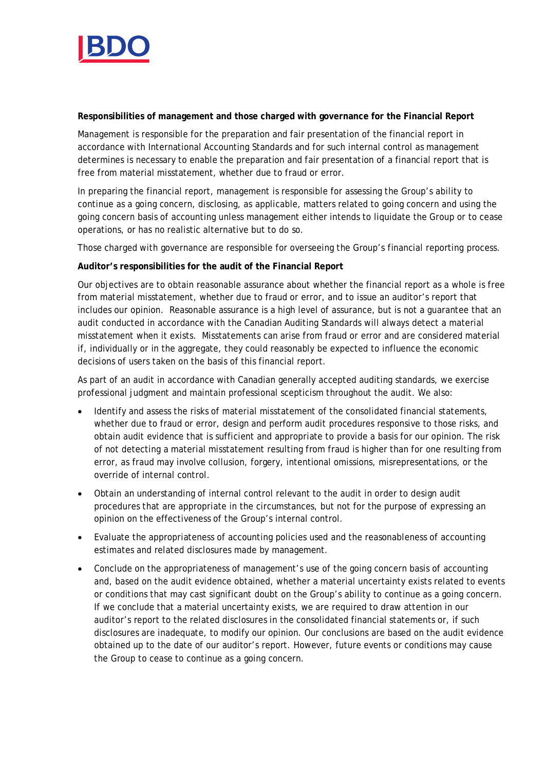

**Responsibilities of management and those charged with governance for the Financial Report**

Management is responsible for the preparation and fair presentation of the financial report in accordance with International Accounting Standards and for such internal control as management determines is necessary to enable the preparation and fair presentation of a financial report that is free from material misstatement, whether due to fraud or error.

In preparing the financial report, management is responsible for assessing the Group's ability to continue as a going concern, disclosing, as applicable, matters related to going concern and using the going concern basis of accounting unless management either intends to liquidate the Group or to cease operations, or has no realistic alternative but to do so.

Those charged with governance are responsible for overseeing the Group's financial reporting process.

**Auditor's responsibilities for the audit of the Financial Report**

Our objectives are to obtain reasonable assurance about whether the financial report as a whole is free from material misstatement, whether due to fraud or error, and to issue an auditor's report that includes our opinion. Reasonable assurance is a high level of assurance, but is not a guarantee that an audit conducted in accordance with the Canadian Auditing Standards will always detect a material misstatement when it exists. Misstatements can arise from fraud or error and are considered material if, individually or in the aggregate, they could reasonably be expected to influence the economic decisions of users taken on the basis of this financial report.

As part of an audit in accordance with Canadian generally accepted auditing standards, we exercise professional judgment and maintain professional scepticism throughout the audit. We also:

- Identify and assess the risks of material misstatement of the consolidated financial statements, whether due to fraud or error, design and perform audit procedures responsive to those risks, and obtain audit evidence that is sufficient and appropriate to provide a basis for our opinion. The risk of not detecting a material misstatement resulting from fraud is higher than for one resulting from error, as fraud may involve collusion, forgery, intentional omissions, misrepresentations, or the override of internal control.
- Obtain an understanding of internal control relevant to the audit in order to design audit procedures that are appropriate in the circumstances, but not for the purpose of expressing an opinion on the effectiveness of the Group's internal control.
- Evaluate the appropriateness of accounting policies used and the reasonableness of accounting estimates and related disclosures made by management.
- Conclude on the appropriateness of management's use of the going concern basis of accounting and, based on the audit evidence obtained, whether a material uncertainty exists related to events or conditions that may cast significant doubt on the Group's ability to continue as a going concern. If we conclude that a material uncertainty exists, we are required to draw attention in our auditor's report to the related disclosures in the consolidated financial statements or, if such disclosures are inadequate, to modify our opinion. Our conclusions are based on the audit evidence obtained up to the date of our auditor's report. However, future events or conditions may cause the Group to cease to continue as a going concern.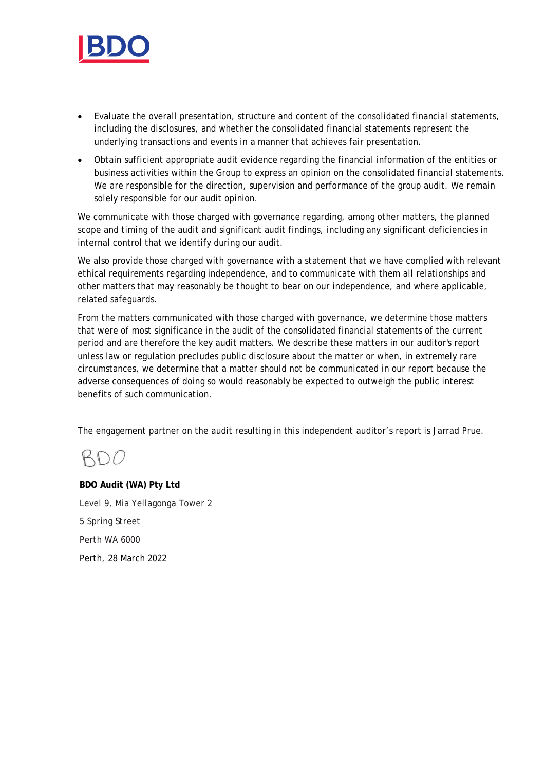

- Evaluate the overall presentation, structure and content of the consolidated financial statements, including the disclosures, and whether the consolidated financial statements represent the underlying transactions and events in a manner that achieves fair presentation.
- Obtain sufficient appropriate audit evidence regarding the financial information of the entities or business activities within the Group to express an opinion on the consolidated financial statements. We are responsible for the direction, supervision and performance of the group audit. We remain solely responsible for our audit opinion.

We communicate with those charged with governance regarding, among other matters, the planned scope and timing of the audit and significant audit findings, including any significant deficiencies in internal control that we identify during our audit.

We also provide those charged with governance with a statement that we have complied with relevant ethical requirements regarding independence, and to communicate with them all relationships and other matters that may reasonably be thought to bear on our independence, and where applicable, related safeguards.

From the matters communicated with those charged with governance, we determine those matters that were of most significance in the audit of the consolidated financial statements of the current period and are therefore the key audit matters. We describe these matters in our auditor's report unless law or regulation precludes public disclosure about the matter or when, in extremely rare circumstances, we determine that a matter should not be communicated in our report because the adverse consequences of doing so would reasonably be expected to outweigh the public interest benefits of such communication.

The engagement partner on the audit resulting in this independent auditor's report is Jarrad Prue.

# RDO

**BDO Audit (WA) Pty Ltd** Level 9, Mia Yellagonga Tower 2 5 Spring Street Perth WA 6000 Perth, 28 March 2022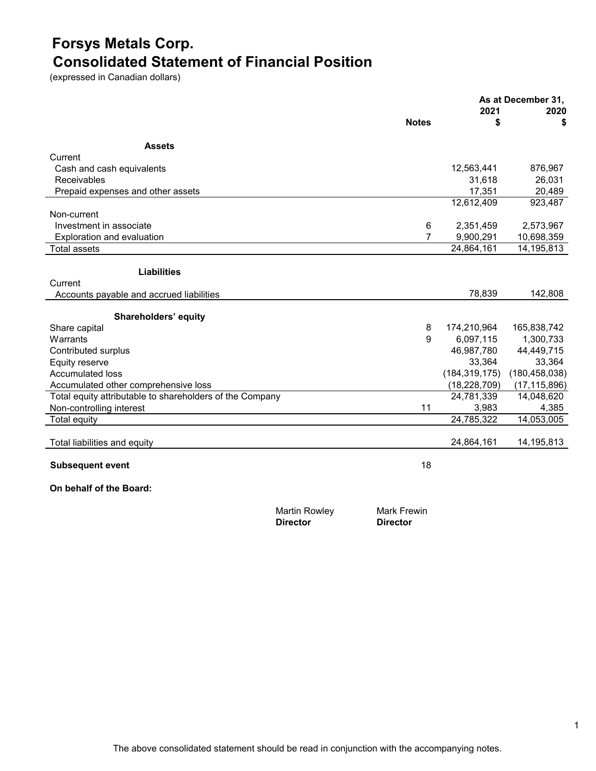### **Forsys Metals Corp. Consolidated Statement of Financial Position**

(expressed in Canadian dollars)

|                                                          |                    |                 | As at December 31, |
|----------------------------------------------------------|--------------------|-----------------|--------------------|
|                                                          | <b>Notes</b>       | 2021<br>\$      | 2020<br>\$         |
|                                                          |                    |                 |                    |
| <b>Assets</b>                                            |                    |                 |                    |
| Current                                                  |                    |                 |                    |
| Cash and cash equivalents                                |                    | 12,563,441      | 876,967            |
| Receivables                                              |                    | 31,618          | 26,031             |
| Prepaid expenses and other assets                        |                    | 17,351          | 20,489             |
|                                                          |                    | 12,612,409      | 923,487            |
| Non-current                                              |                    |                 |                    |
| Investment in associate                                  | 6                  | 2,351,459       | 2,573,967          |
| Exploration and evaluation                               | 7                  | 9,900,291       | 10,698,359         |
| <b>Total assets</b>                                      |                    | 24,864,161      | 14,195,813         |
|                                                          |                    |                 |                    |
| <b>Liabilities</b>                                       |                    |                 |                    |
| Current                                                  |                    |                 |                    |
| Accounts payable and accrued liabilities                 |                    | 78,839          | 142,808            |
| Shareholders' equity                                     |                    |                 |                    |
| Share capital                                            | 8                  | 174,210,964     | 165,838,742        |
| Warrants                                                 | 9                  | 6,097,115       | 1,300,733          |
| Contributed surplus                                      |                    | 46,987,780      | 44,449,715         |
| Equity reserve                                           |                    | 33,364          | 33,364             |
| Accumulated loss                                         |                    | (184, 319, 175) | (180, 458, 038)    |
| Accumulated other comprehensive loss                     |                    | (18, 228, 709)  | (17, 115, 896)     |
| Total equity attributable to shareholders of the Company |                    | 24,781,339      | 14,048,620         |
| Non-controlling interest                                 | 11                 | 3,983           | 4,385              |
| <b>Total equity</b>                                      |                    | 24,785,322      | 14,053,005         |
|                                                          |                    |                 |                    |
| Total liabilities and equity                             |                    | 24,864,161      | 14,195,813         |
| <b>Subsequent event</b>                                  | 18                 |                 |                    |
| On behalf of the Board:                                  |                    |                 |                    |
| <b>Martin Rowley</b>                                     | <b>Mark Frewin</b> |                 |                    |

**Director Director**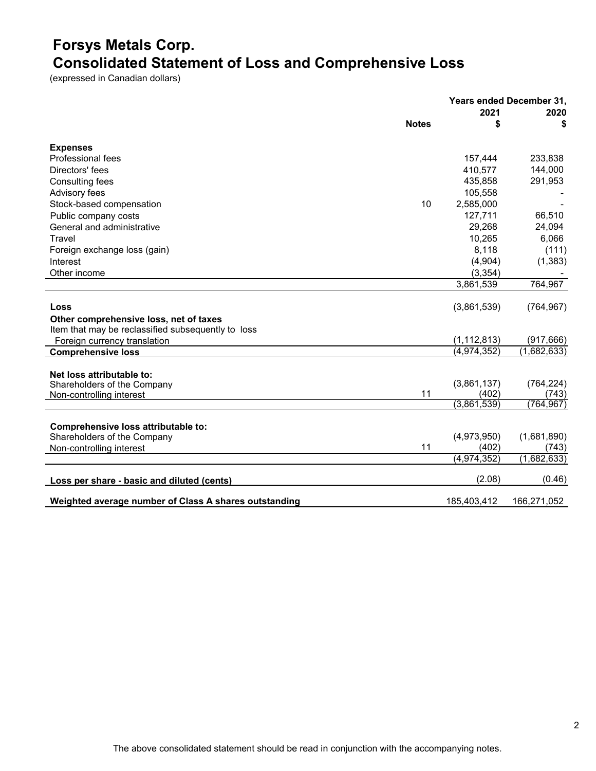# **Forsys Metals Corp. Consolidated Statement of Loss and Comprehensive Loss**

(expressed in Canadian dollars)

|                                                       | Years ended December 31, |                     |
|-------------------------------------------------------|--------------------------|---------------------|
| <b>Notes</b>                                          | 2021<br>\$               | 2020<br>S           |
|                                                       |                          |                     |
| <b>Expenses</b>                                       |                          |                     |
| Professional fees                                     | 157,444                  | 233,838             |
| Directors' fees                                       | 410,577                  | 144,000             |
| Consulting fees                                       | 435,858                  | 291,953             |
| Advisory fees                                         | 105,558                  |                     |
| Stock-based compensation                              | 10<br>2,585,000          |                     |
| Public company costs                                  | 127,711                  | 66,510              |
| General and administrative                            | 29,268                   | 24,094              |
| Travel                                                | 10,265                   | 6,066               |
| Foreign exchange loss (gain)                          | 8,118                    | (111)               |
| Interest                                              | (4,904)                  | (1, 383)            |
| Other income                                          | (3, 354)                 |                     |
|                                                       | 3,861,539                | 764,967             |
|                                                       |                          |                     |
| Loss                                                  | (3,861,539)              | (764, 967)          |
| Other comprehensive loss, net of taxes                |                          |                     |
| Item that may be reclassified subsequently to loss    |                          |                     |
| Foreign currency translation                          | (1, 112, 813)            | (917, 666)          |
| <b>Comprehensive loss</b>                             | (4,974,352)              | (1,682,633)         |
|                                                       |                          |                     |
| Net loss attributable to:                             |                          |                     |
| Shareholders of the Company<br>11                     | (3,861,137)<br>(402)     | (764, 224)<br>(743) |
| Non-controlling interest                              | (3,861,539)              | (764, 967)          |
|                                                       |                          |                     |
| Comprehensive loss attributable to:                   |                          |                     |
| Shareholders of the Company                           | (4,973,950)              | (1,681,890)         |
| 11<br>Non-controlling interest                        | (402)                    | (743)               |
|                                                       | (4, 974, 352)            | (1,682,633)         |
|                                                       |                          |                     |
| Loss per share - basic and diluted (cents)            | (2.08)                   | (0.46)              |
| Weighted average number of Class A shares outstanding | 185,403,412              | 166,271,052         |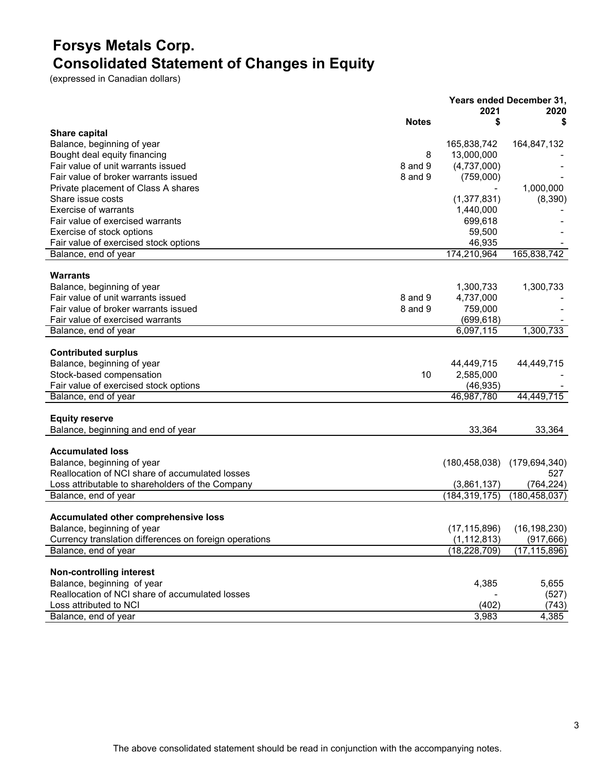# **Forsys Metals Corp. Consolidated Statement of Changes in Equity**

(expressed in Canadian dollars)

|                                                        |              |                 | Years ended December 31, |
|--------------------------------------------------------|--------------|-----------------|--------------------------|
|                                                        | <b>Notes</b> | 2021<br>\$      | 2020<br>S                |
| <b>Share capital</b>                                   |              |                 |                          |
| Balance, beginning of year                             |              | 165,838,742     | 164,847,132              |
| Bought deal equity financing                           | 8            | 13,000,000      |                          |
| Fair value of unit warrants issued                     | 8 and 9      | (4,737,000)     |                          |
| Fair value of broker warrants issued                   | 8 and 9      | (759,000)       |                          |
| Private placement of Class A shares                    |              |                 | 1,000,000                |
| Share issue costs                                      |              | (1, 377, 831)   | (8,390)                  |
| <b>Exercise of warrants</b>                            |              | 1,440,000       |                          |
| Fair value of exercised warrants                       |              | 699,618         |                          |
| Exercise of stock options                              |              | 59,500          |                          |
| Fair value of exercised stock options                  |              | 46,935          |                          |
| Balance, end of year                                   |              | 174,210,964     | 165,838,742              |
|                                                        |              |                 |                          |
| <b>Warrants</b>                                        |              |                 |                          |
| Balance, beginning of year                             |              | 1,300,733       | 1,300,733                |
| Fair value of unit warrants issued                     | 8 and 9      | 4,737,000       |                          |
| Fair value of broker warrants issued                   | 8 and 9      | 759,000         |                          |
| Fair value of exercised warrants                       |              | (699, 618)      |                          |
| Balance, end of year                                   |              | 6,097,115       | 1,300,733                |
|                                                        |              |                 |                          |
| <b>Contributed surplus</b>                             |              |                 |                          |
| Balance, beginning of year                             |              | 44,449,715      | 44,449,715               |
| Stock-based compensation                               | 10           | 2,585,000       |                          |
| Fair value of exercised stock options                  |              | (46, 935)       |                          |
| Balance, end of year                                   |              | 46,987,780      | 44,449,715               |
|                                                        |              |                 |                          |
| <b>Equity reserve</b>                                  |              |                 |                          |
| Balance, beginning and end of year                     |              | 33,364          | 33,364                   |
| <b>Accumulated loss</b>                                |              |                 |                          |
| Balance, beginning of year                             |              | (180, 458, 038) | (179, 694, 340)          |
| Reallocation of NCI share of accumulated losses        |              |                 | 527                      |
| Loss attributable to shareholders of the Company       |              | (3,861,137)     | (764, 224)               |
| Balance, end of year                                   |              | (184, 319, 175) | (180, 458, 037)          |
|                                                        |              |                 |                          |
| Accumulated other comprehensive loss                   |              |                 |                          |
| Balance, beginning of year                             |              | (17, 115, 896)  | (16, 198, 230)           |
| Currency translation differences on foreign operations |              | (1, 112, 813)   | (917, 666)               |
| Balance, end of year                                   |              | (18, 228, 709)  | (17, 115, 896)           |
|                                                        |              |                 |                          |
| Non-controlling interest                               |              |                 |                          |
| Balance, beginning of year                             |              | 4,385           | 5,655                    |
| Reallocation of NCI share of accumulated losses        |              |                 | (527)                    |
| Loss attributed to NCI                                 |              | (402)           | (743)                    |
| Balance, end of year                                   |              | 3,983           | 4,385                    |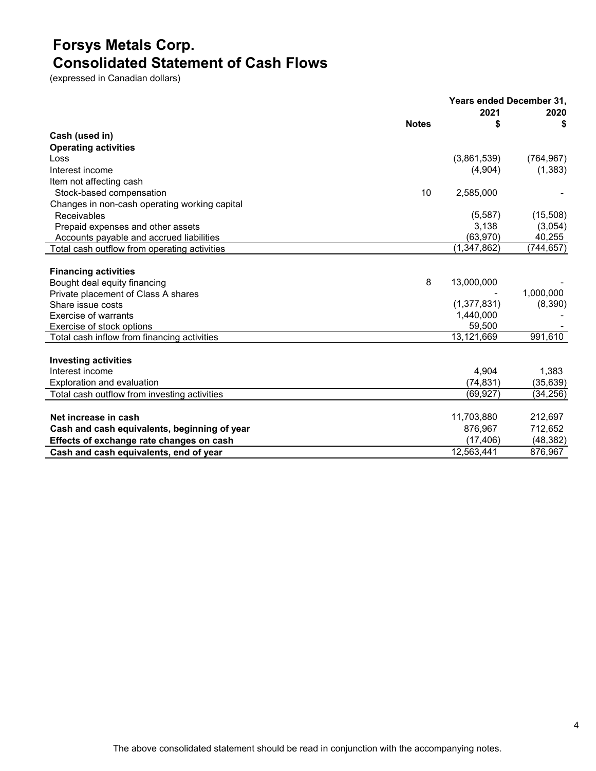### **Forsys Metals Corp. Consolidated Statement of Cash Flows**

(expressed in Canadian dollars)

|                                               |              |               | <b>Years ended December 31.</b> |
|-----------------------------------------------|--------------|---------------|---------------------------------|
|                                               |              | 2021          | 2020                            |
|                                               | <b>Notes</b> | \$            | \$                              |
| Cash (used in)                                |              |               |                                 |
| <b>Operating activities</b>                   |              |               |                                 |
| Loss                                          |              | (3,861,539)   | (764, 967)                      |
| Interest income                               |              | (4,904)       | (1, 383)                        |
| Item not affecting cash                       |              |               |                                 |
| Stock-based compensation                      | 10           | 2,585,000     |                                 |
| Changes in non-cash operating working capital |              |               |                                 |
| Receivables                                   |              | (5, 587)      | (15,508)                        |
| Prepaid expenses and other assets             |              | 3,138         | (3,054)                         |
| Accounts payable and accrued liabilities      |              | (63, 970)     | 40,255                          |
| Total cash outflow from operating activities  |              | (1, 347, 862) | (744,657)                       |
|                                               |              |               |                                 |
| <b>Financing activities</b>                   |              |               |                                 |
| Bought deal equity financing                  | 8            | 13,000,000    |                                 |
| Private placement of Class A shares           |              |               | 1,000,000                       |
| Share issue costs                             |              | (1, 377, 831) | (8,390)                         |
| Exercise of warrants                          |              | 1,440,000     |                                 |
| Exercise of stock options                     |              | 59,500        |                                 |
| Total cash inflow from financing activities   |              | 13,121,669    | 991,610                         |
|                                               |              |               |                                 |
| <b>Investing activities</b>                   |              |               |                                 |
| Interest income                               |              | 4,904         | 1,383                           |
| Exploration and evaluation                    |              | (74, 831)     | (35, 639)                       |
| Total cash outflow from investing activities  |              | (69, 927)     | (34, 256)                       |
|                                               |              |               |                                 |
| Net increase in cash                          |              | 11,703,880    | 212,697                         |
| Cash and cash equivalents, beginning of year  |              | 876,967       | 712,652                         |
| Effects of exchange rate changes on cash      |              | (17, 406)     | (48, 382)                       |
| Cash and cash equivalents, end of year        |              | 12,563,441    | 876,967                         |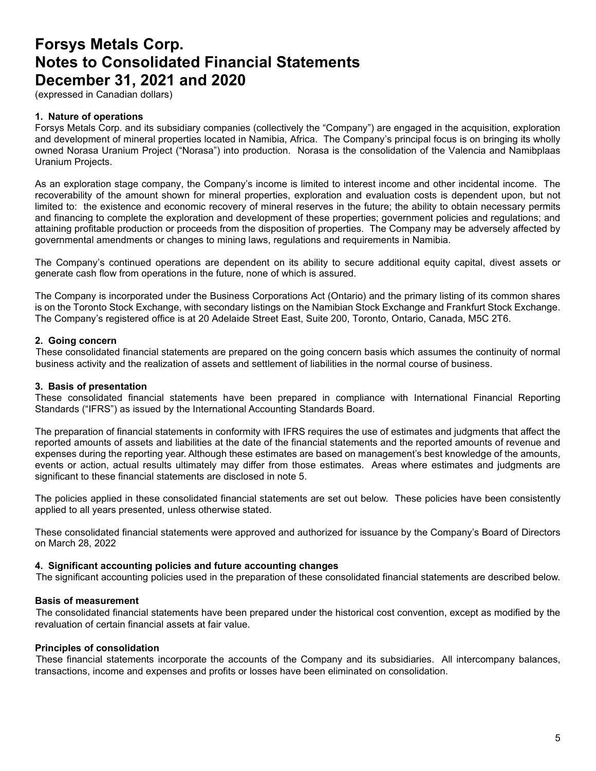(expressed in Canadian dollars)

#### **1. Nature of operations**

Forsys Metals Corp. and its subsidiary companies (collectively the "Company") are engaged in the acquisition, exploration and development of mineral properties located in Namibia, Africa. The Company's principal focus is on bringing its wholly owned Norasa Uranium Project ("Norasa") into production. Norasa is the consolidation of the Valencia and Namibplaas Uranium Projects.

As an exploration stage company, the Company's income is limited to interest income and other incidental income. The recoverability of the amount shown for mineral properties, exploration and evaluation costs is dependent upon, but not limited to: the existence and economic recovery of mineral reserves in the future; the ability to obtain necessary permits and financing to complete the exploration and development of these properties; government policies and regulations; and attaining profitable production or proceeds from the disposition of properties. The Company may be adversely affected by governmental amendments or changes to mining laws, regulations and requirements in Namibia.

The Company's continued operations are dependent on its ability to secure additional equity capital, divest assets or generate cash flow from operations in the future, none of which is assured.

The Company is incorporated under the Business Corporations Act (Ontario) and the primary listing of its common shares is on the Toronto Stock Exchange, with secondary listings on the Namibian Stock Exchange and Frankfurt Stock Exchange. The Company's registered office is at 20 Adelaide Street East, Suite 200, Toronto, Ontario, Canada, M5C 2T6.

#### **2. Going concern**

These consolidated financial statements are prepared on the going concern basis which assumes the continuity of normal business activity and the realization of assets and settlement of liabilities in the normal course of business.

#### **3. Basis of presentation**

These consolidated financial statements have been prepared in compliance with International Financial Reporting Standards ("IFRS") as issued by the International Accounting Standards Board.

The preparation of financial statements in conformity with IFRS requires the use of estimates and judgments that affect the reported amounts of assets and liabilities at the date of the financial statements and the reported amounts of revenue and expenses during the reporting year. Although these estimates are based on management's best knowledge of the amounts, events or action, actual results ultimately may differ from those estimates. Areas where estimates and judgments are significant to these financial statements are disclosed in note 5.

The policies applied in these consolidated financial statements are set out below. These policies have been consistently applied to all years presented, unless otherwise stated.

These consolidated financial statements were approved and authorized for issuance by the Company's Board of Directors on March 28, 2022

#### **4. Significant accounting policies and future accounting changes**

The significant accounting policies used in the preparation of these consolidated financial statements are described below.

#### **Basis of measurement**

The consolidated financial statements have been prepared under the historical cost convention, except as modified by the revaluation of certain financial assets at fair value.

#### **Principles of consolidation**

These financial statements incorporate the accounts of the Company and its subsidiaries. All intercompany balances, transactions, income and expenses and profits or losses have been eliminated on consolidation.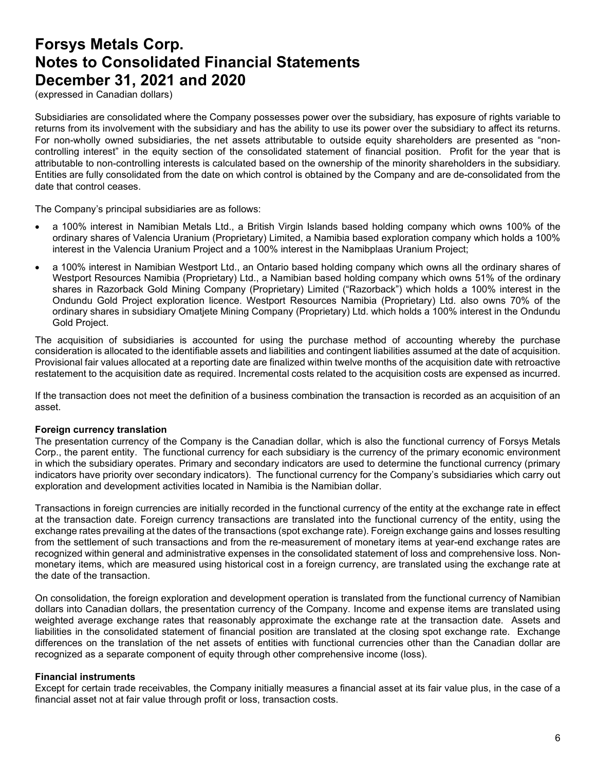(expressed in Canadian dollars)

Subsidiaries are consolidated where the Company possesses power over the subsidiary, has exposure of rights variable to returns from its involvement with the subsidiary and has the ability to use its power over the subsidiary to affect its returns. For non-wholly owned subsidiaries, the net assets attributable to outside equity shareholders are presented as "noncontrolling interest" in the equity section of the consolidated statement of financial position. Profit for the year that is attributable to non-controlling interests is calculated based on the ownership of the minority shareholders in the subsidiary. Entities are fully consolidated from the date on which control is obtained by the Company and are de-consolidated from the date that control ceases.

The Company's principal subsidiaries are as follows:

- a 100% interest in Namibian Metals Ltd., a British Virgin Islands based holding company which owns 100% of the ordinary shares of Valencia Uranium (Proprietary) Limited, a Namibia based exploration company which holds a 100% interest in the Valencia Uranium Project and a 100% interest in the Namibplaas Uranium Project;
- a 100% interest in Namibian Westport Ltd., an Ontario based holding company which owns all the ordinary shares of Westport Resources Namibia (Proprietary) Ltd., a Namibian based holding company which owns 51% of the ordinary shares in Razorback Gold Mining Company (Proprietary) Limited ("Razorback") which holds a 100% interest in the Ondundu Gold Project exploration licence. Westport Resources Namibia (Proprietary) Ltd. also owns 70% of the ordinary shares in subsidiary Omatjete Mining Company (Proprietary) Ltd. which holds a 100% interest in the Ondundu Gold Project.

The acquisition of subsidiaries is accounted for using the purchase method of accounting whereby the purchase consideration is allocated to the identifiable assets and liabilities and contingent liabilities assumed at the date of acquisition. Provisional fair values allocated at a reporting date are finalized within twelve months of the acquisition date with retroactive restatement to the acquisition date as required. Incremental costs related to the acquisition costs are expensed as incurred.

If the transaction does not meet the definition of a business combination the transaction is recorded as an acquisition of an asset.

#### **Foreign currency translation**

The presentation currency of the Company is the Canadian dollar, which is also the functional currency of Forsys Metals Corp., the parent entity. The functional currency for each subsidiary is the currency of the primary economic environment in which the subsidiary operates. Primary and secondary indicators are used to determine the functional currency (primary indicators have priority over secondary indicators). The functional currency for the Company's subsidiaries which carry out exploration and development activities located in Namibia is the Namibian dollar.

Transactions in foreign currencies are initially recorded in the functional currency of the entity at the exchange rate in effect at the transaction date. Foreign currency transactions are translated into the functional currency of the entity, using the exchange rates prevailing at the dates of the transactions (spot exchange rate). Foreign exchange gains and losses resulting from the settlement of such transactions and from the re-measurement of monetary items at year-end exchange rates are recognized within general and administrative expenses in the consolidated statement of loss and comprehensive loss. Nonmonetary items, which are measured using historical cost in a foreign currency, are translated using the exchange rate at the date of the transaction.

On consolidation, the foreign exploration and development operation is translated from the functional currency of Namibian dollars into Canadian dollars, the presentation currency of the Company. Income and expense items are translated using weighted average exchange rates that reasonably approximate the exchange rate at the transaction date. Assets and liabilities in the consolidated statement of financial position are translated at the closing spot exchange rate. Exchange differences on the translation of the net assets of entities with functional currencies other than the Canadian dollar are recognized as a separate component of equity through other comprehensive income (loss).

#### **Financial instruments**

Except for certain trade receivables, the Company initially measures a financial asset at its fair value plus, in the case of a financial asset not at fair value through profit or loss, transaction costs.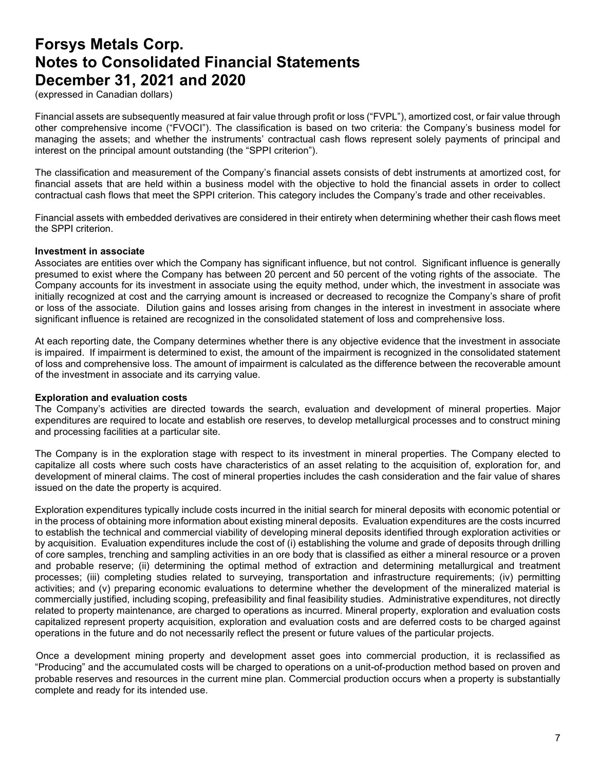(expressed in Canadian dollars)

Financial assets are subsequently measured at fair value through profit or loss ("FVPL"), amortized cost, or fair value through other comprehensive income ("FVOCI"). The classification is based on two criteria: the Company's business model for managing the assets; and whether the instruments' contractual cash flows represent solely payments of principal and interest on the principal amount outstanding (the "SPPI criterion").

The classification and measurement of the Company's financial assets consists of debt instruments at amortized cost, for financial assets that are held within a business model with the objective to hold the financial assets in order to collect contractual cash flows that meet the SPPI criterion. This category includes the Company's trade and other receivables.

Financial assets with embedded derivatives are considered in their entirety when determining whether their cash flows meet the SPPI criterion.

#### **Investment in associate**

Associates are entities over which the Company has significant influence, but not control. Significant influence is generally presumed to exist where the Company has between 20 percent and 50 percent of the voting rights of the associate. The Company accounts for its investment in associate using the equity method, under which, the investment in associate was initially recognized at cost and the carrying amount is increased or decreased to recognize the Company's share of profit or loss of the associate. Dilution gains and losses arising from changes in the interest in investment in associate where significant influence is retained are recognized in the consolidated statement of loss and comprehensive loss.

At each reporting date, the Company determines whether there is any objective evidence that the investment in associate is impaired. If impairment is determined to exist, the amount of the impairment is recognized in the consolidated statement of loss and comprehensive loss. The amount of impairment is calculated as the difference between the recoverable amount of the investment in associate and its carrying value.

#### **Exploration and evaluation costs**

The Company's activities are directed towards the search, evaluation and development of mineral properties. Major expenditures are required to locate and establish ore reserves, to develop metallurgical processes and to construct mining and processing facilities at a particular site.

The Company is in the exploration stage with respect to its investment in mineral properties. The Company elected to capitalize all costs where such costs have characteristics of an asset relating to the acquisition of, exploration for, and development of mineral claims. The cost of mineral properties includes the cash consideration and the fair value of shares issued on the date the property is acquired.

Exploration expenditures typically include costs incurred in the initial search for mineral deposits with economic potential or in the process of obtaining more information about existing mineral deposits. Evaluation expenditures are the costs incurred to establish the technical and commercial viability of developing mineral deposits identified through exploration activities or by acquisition. Evaluation expenditures include the cost of (i) establishing the volume and grade of deposits through drilling of core samples, trenching and sampling activities in an ore body that is classified as either a mineral resource or a proven and probable reserve; (ii) determining the optimal method of extraction and determining metallurgical and treatment processes; (iii) completing studies related to surveying, transportation and infrastructure requirements; (iv) permitting activities; and (v) preparing economic evaluations to determine whether the development of the mineralized material is commercially justified, including scoping, prefeasibility and final feasibility studies. Administrative expenditures, not directly related to property maintenance, are charged to operations as incurred. Mineral property, exploration and evaluation costs capitalized represent property acquisition, exploration and evaluation costs and are deferred costs to be charged against operations in the future and do not necessarily reflect the present or future values of the particular projects.

Once a development mining property and development asset goes into commercial production, it is reclassified as "Producing" and the accumulated costs will be charged to operations on a unit-of-production method based on proven and probable reserves and resources in the current mine plan. Commercial production occurs when a property is substantially complete and ready for its intended use.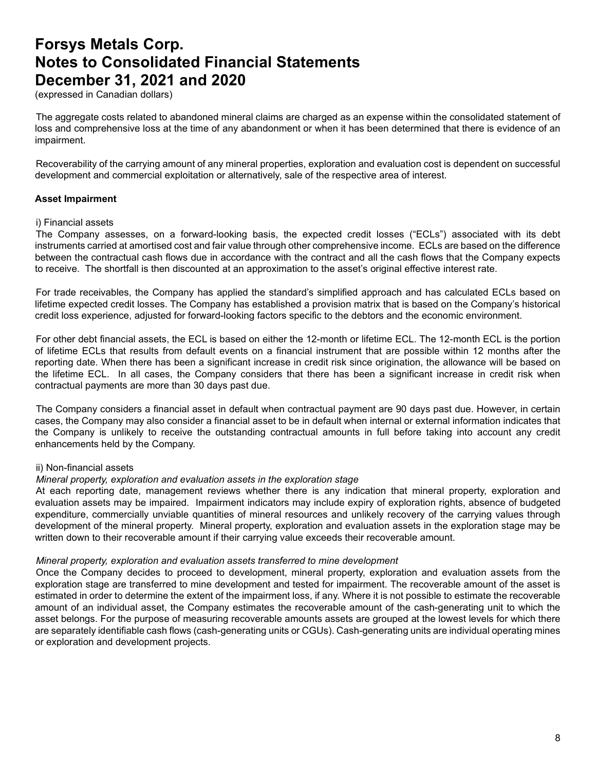(expressed in Canadian dollars)

The aggregate costs related to abandoned mineral claims are charged as an expense within the consolidated statement of loss and comprehensive loss at the time of any abandonment or when it has been determined that there is evidence of an impairment.

Recoverability of the carrying amount of any mineral properties, exploration and evaluation cost is dependent on successful development and commercial exploitation or alternatively, sale of the respective area of interest.

#### **Asset Impairment**

#### i) Financial assets

The Company assesses, on a forward-looking basis, the expected credit losses ("ECLs") associated with its debt instruments carried at amortised cost and fair value through other comprehensive income. ECLs are based on the difference between the contractual cash flows due in accordance with the contract and all the cash flows that the Company expects to receive. The shortfall is then discounted at an approximation to the asset's original effective interest rate.

For trade receivables, the Company has applied the standard's simplified approach and has calculated ECLs based on lifetime expected credit losses. The Company has established a provision matrix that is based on the Company's historical credit loss experience, adjusted for forward-looking factors specific to the debtors and the economic environment.

For other debt financial assets, the ECL is based on either the 12-month or lifetime ECL. The 12-month ECL is the portion of lifetime ECLs that results from default events on a financial instrument that are possible within 12 months after the reporting date. When there has been a significant increase in credit risk since origination, the allowance will be based on the lifetime ECL. In all cases, the Company considers that there has been a significant increase in credit risk when contractual payments are more than 30 days past due.

The Company considers a financial asset in default when contractual payment are 90 days past due. However, in certain cases, the Company may also consider a financial asset to be in default when internal or external information indicates that the Company is unlikely to receive the outstanding contractual amounts in full before taking into account any credit enhancements held by the Company.

#### ii) Non-financial assets

#### *Mineral property, exploration and evaluation assets in the exploration stage*

At each reporting date, management reviews whether there is any indication that mineral property, exploration and evaluation assets may be impaired. Impairment indicators may include expiry of exploration rights, absence of budgeted expenditure, commercially unviable quantities of mineral resources and unlikely recovery of the carrying values through development of the mineral property. Mineral property, exploration and evaluation assets in the exploration stage may be written down to their recoverable amount if their carrying value exceeds their recoverable amount.

#### *Mineral property, exploration and evaluation assets transferred to mine development*

Once the Company decides to proceed to development, mineral property, exploration and evaluation assets from the exploration stage are transferred to mine development and tested for impairment. The recoverable amount of the asset is estimated in order to determine the extent of the impairment loss, if any. Where it is not possible to estimate the recoverable amount of an individual asset, the Company estimates the recoverable amount of the cash-generating unit to which the asset belongs. For the purpose of measuring recoverable amounts assets are grouped at the lowest levels for which there are separately identifiable cash flows (cash-generating units or CGUs). Cash-generating units are individual operating mines or exploration and development projects.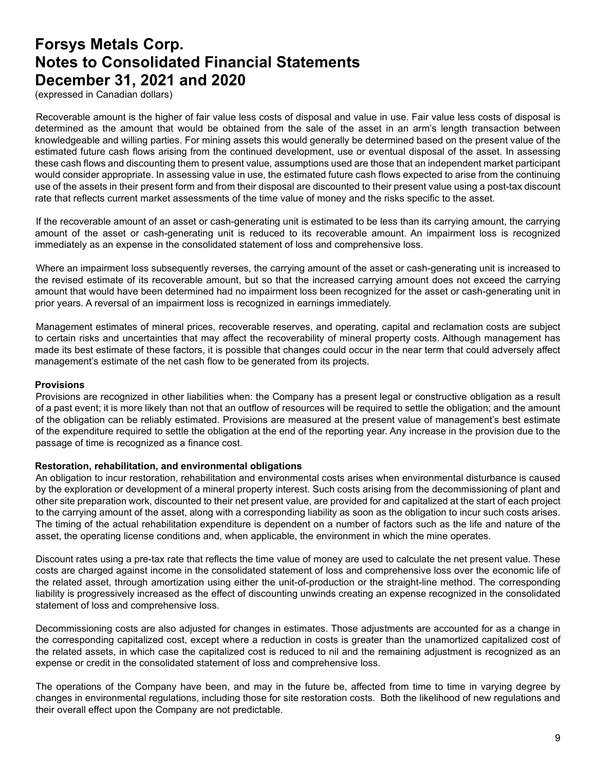(expressed in Canadian dollars)

Recoverable amount is the higher of fair value less costs of disposal and value in use. Fair value less costs of disposal is determined as the amount that would be obtained from the sale of the asset in an arm's length transaction between knowledgeable and willing parties. For mining assets this would generally be determined based on the present value of the estimated future cash flows arising from the continued development, use or eventual disposal of the asset. In assessing these cash flows and discounting them to present value, assumptions used are those that an independent market participant would consider appropriate. In assessing value in use, the estimated future cash flows expected to arise from the continuing use of the assets in their present form and from their disposal are discounted to their present value using a post-tax discount rate that reflects current market assessments of the time value of money and the risks specific to the asset.

If the recoverable amount of an asset or cash-generating unit is estimated to be less than its carrying amount, the carrying amount of the asset or cash-generating unit is reduced to its recoverable amount. An impairment loss is recognized immediately as an expense in the consolidated statement of loss and comprehensive loss.

Where an impairment loss subsequently reverses, the carrying amount of the asset or cash-generating unit is increased to the revised estimate of its recoverable amount, but so that the increased carrying amount does not exceed the carrying amount that would have been determined had no impairment loss been recognized for the asset or cash-generating unit in prior years. A reversal of an impairment loss is recognized in earnings immediately.

Management estimates of mineral prices, recoverable reserves, and operating, capital and reclamation costs are subject to certain risks and uncertainties that may affect the recoverability of mineral property costs. Although management has made its best estimate of these factors, it is possible that changes could occur in the near term that could adversely affect management's estimate of the net cash flow to be generated from its projects.

#### **Provisions**

Provisions are recognized in other liabilities when: the Company has a present legal or constructive obligation as a result of a past event; it is more likely than not that an outflow of resources will be required to settle the obligation; and the amount of the obligation can be reliably estimated. Provisions are measured at the present value of management's best estimate of the expenditure required to settle the obligation at the end of the reporting year. Any increase in the provision due to the passage of time is recognized as a finance cost.

#### **Restoration, rehabilitation, and environmental obligations**

An obligation to incur restoration, rehabilitation and environmental costs arises when environmental disturbance is caused by the exploration or development of a mineral property interest. Such costs arising from the decommissioning of plant and other site preparation work, discounted to their net present value, are provided for and capitalized at the start of each project to the carrying amount of the asset, along with a corresponding liability as soon as the obligation to incur such costs arises. The timing of the actual rehabilitation expenditure is dependent on a number of factors such as the life and nature of the asset, the operating license conditions and, when applicable, the environment in which the mine operates.

Discount rates using a pre-tax rate that reflects the time value of money are used to calculate the net present value. These costs are charged against income in the consolidated statement of loss and comprehensive loss over the economic life of the related asset, through amortization using either the unit-of-production or the straight-line method. The corresponding liability is progressively increased as the effect of discounting unwinds creating an expense recognized in the consolidated statement of loss and comprehensive loss.

Decommissioning costs are also adjusted for changes in estimates. Those adjustments are accounted for as a change in the corresponding capitalized cost, except where a reduction in costs is greater than the unamortized capitalized cost of the related assets, in which case the capitalized cost is reduced to nil and the remaining adjustment is recognized as an expense or credit in the consolidated statement of loss and comprehensive loss.

The operations of the Company have been, and may in the future be, affected from time to time in varying degree by changes in environmental regulations, including those for site restoration costs. Both the likelihood of new regulations and their overall effect upon the Company are not predictable.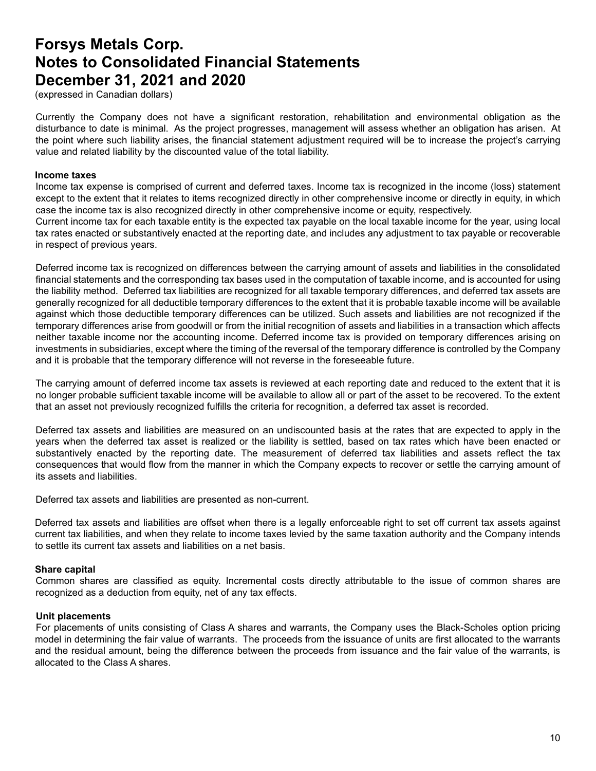(expressed in Canadian dollars)

Currently the Company does not have a significant restoration, rehabilitation and environmental obligation as the disturbance to date is minimal. As the project progresses, management will assess whether an obligation has arisen. At the point where such liability arises, the financial statement adjustment required will be to increase the project's carrying value and related liability by the discounted value of the total liability.

#### **Income taxes**

Income tax expense is comprised of current and deferred taxes. Income tax is recognized in the income (loss) statement except to the extent that it relates to items recognized directly in other comprehensive income or directly in equity, in which case the income tax is also recognized directly in other comprehensive income or equity, respectively.

Current income tax for each taxable entity is the expected tax payable on the local taxable income for the year, using local tax rates enacted or substantively enacted at the reporting date, and includes any adjustment to tax payable or recoverable in respect of previous years.

Deferred income tax is recognized on differences between the carrying amount of assets and liabilities in the consolidated financial statements and the corresponding tax bases used in the computation of taxable income, and is accounted for using the liability method. Deferred tax liabilities are recognized for all taxable temporary differences, and deferred tax assets are generally recognized for all deductible temporary differences to the extent that it is probable taxable income will be available against which those deductible temporary differences can be utilized. Such assets and liabilities are not recognized if the temporary differences arise from goodwill or from the initial recognition of assets and liabilities in a transaction which affects neither taxable income nor the accounting income. Deferred income tax is provided on temporary differences arising on investments in subsidiaries, except where the timing of the reversal of the temporary difference is controlled by the Company and it is probable that the temporary difference will not reverse in the foreseeable future.

The carrying amount of deferred income tax assets is reviewed at each reporting date and reduced to the extent that it is no longer probable sufficient taxable income will be available to allow all or part of the asset to be recovered. To the extent that an asset not previously recognized fulfills the criteria for recognition, a deferred tax asset is recorded.

Deferred tax assets and liabilities are measured on an undiscounted basis at the rates that are expected to apply in the years when the deferred tax asset is realized or the liability is settled, based on tax rates which have been enacted or substantively enacted by the reporting date. The measurement of deferred tax liabilities and assets reflect the tax consequences that would flow from the manner in which the Company expects to recover or settle the carrying amount of its assets and liabilities.

Deferred tax assets and liabilities are presented as non-current.

Deferred tax assets and liabilities are offset when there is a legally enforceable right to set off current tax assets against current tax liabilities, and when they relate to income taxes levied by the same taxation authority and the Company intends to settle its current tax assets and liabilities on a net basis.

#### **Share capital**

Common shares are classified as equity. Incremental costs directly attributable to the issue of common shares are recognized as a deduction from equity, net of any tax effects.

#### **Unit placements**

For placements of units consisting of Class A shares and warrants, the Company uses the Black-Scholes option pricing model in determining the fair value of warrants. The proceeds from the issuance of units are first allocated to the warrants and the residual amount, being the difference between the proceeds from issuance and the fair value of the warrants, is allocated to the Class A shares.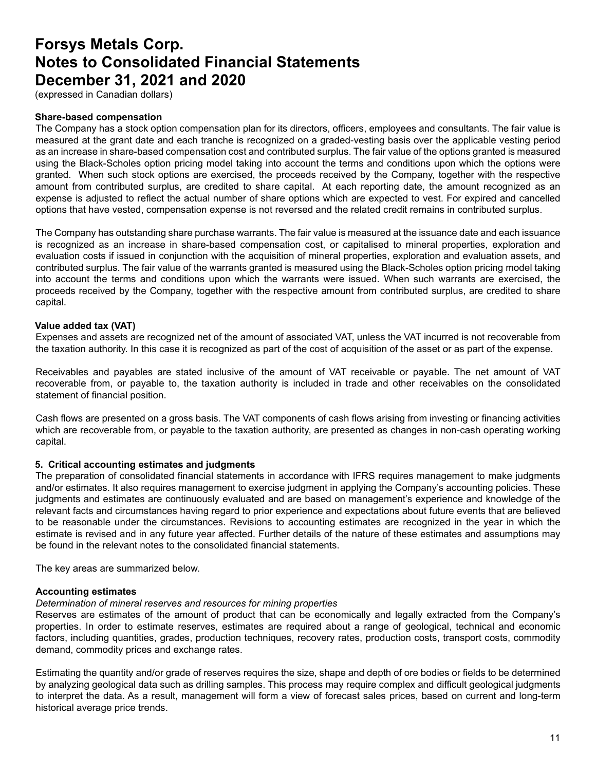(expressed in Canadian dollars)

#### **Share-based compensation**

The Company has a stock option compensation plan for its directors, officers, employees and consultants. The fair value is measured at the grant date and each tranche is recognized on a graded-vesting basis over the applicable vesting period as an increase in share-based compensation cost and contributed surplus. The fair value of the options granted is measured using the Black-Scholes option pricing model taking into account the terms and conditions upon which the options were granted. When such stock options are exercised, the proceeds received by the Company, together with the respective amount from contributed surplus, are credited to share capital. At each reporting date, the amount recognized as an expense is adjusted to reflect the actual number of share options which are expected to vest. For expired and cancelled options that have vested, compensation expense is not reversed and the related credit remains in contributed surplus.

The Company has outstanding share purchase warrants. The fair value is measured at the issuance date and each issuance is recognized as an increase in share-based compensation cost, or capitalised to mineral properties, exploration and evaluation costs if issued in conjunction with the acquisition of mineral properties, exploration and evaluation assets, and contributed surplus. The fair value of the warrants granted is measured using the Black-Scholes option pricing model taking into account the terms and conditions upon which the warrants were issued. When such warrants are exercised, the proceeds received by the Company, together with the respective amount from contributed surplus, are credited to share capital.

#### **Value added tax (VAT)**

Expenses and assets are recognized net of the amount of associated VAT, unless the VAT incurred is not recoverable from the taxation authority. In this case it is recognized as part of the cost of acquisition of the asset or as part of the expense.

Receivables and payables are stated inclusive of the amount of VAT receivable or payable. The net amount of VAT recoverable from, or payable to, the taxation authority is included in trade and other receivables on the consolidated statement of financial position.

Cash flows are presented on a gross basis. The VAT components of cash flows arising from investing or financing activities which are recoverable from, or payable to the taxation authority, are presented as changes in non-cash operating working capital.

#### **5. Critical accounting estimates and judgments**

The preparation of consolidated financial statements in accordance with IFRS requires management to make judgments and/or estimates. It also requires management to exercise judgment in applying the Company's accounting policies. These judgments and estimates are continuously evaluated and are based on management's experience and knowledge of the relevant facts and circumstances having regard to prior experience and expectations about future events that are believed to be reasonable under the circumstances. Revisions to accounting estimates are recognized in the year in which the estimate is revised and in any future year affected. Further details of the nature of these estimates and assumptions may be found in the relevant notes to the consolidated financial statements.

The key areas are summarized below.

#### **Accounting estimates**

#### *Determination of mineral reserves and resources for mining properties*

Reserves are estimates of the amount of product that can be economically and legally extracted from the Company's properties. In order to estimate reserves, estimates are required about a range of geological, technical and economic factors, including quantities, grades, production techniques, recovery rates, production costs, transport costs, commodity demand, commodity prices and exchange rates.

Estimating the quantity and/or grade of reserves requires the size, shape and depth of ore bodies or fields to be determined by analyzing geological data such as drilling samples. This process may require complex and difficult geological judgments to interpret the data. As a result, management will form a view of forecast sales prices, based on current and long-term historical average price trends.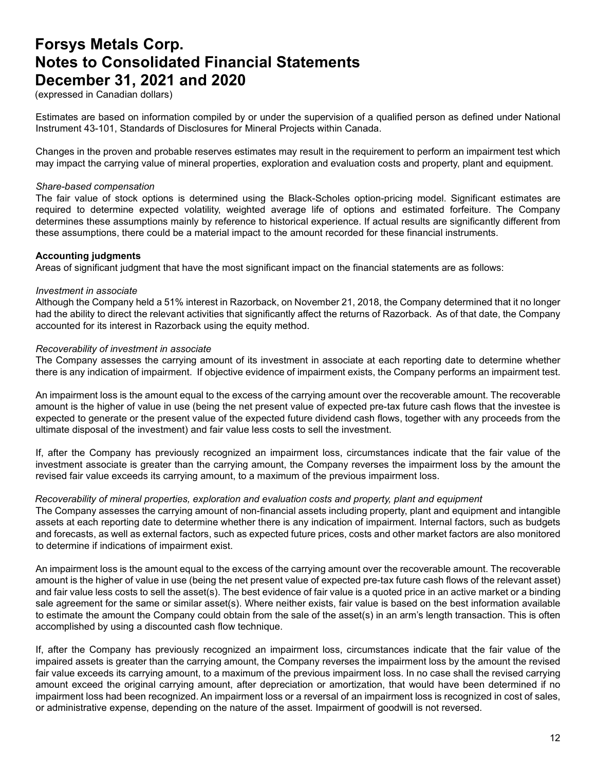(expressed in Canadian dollars)

Estimates are based on information compiled by or under the supervision of a qualified person as defined under National Instrument 43-101, Standards of Disclosures for Mineral Projects within Canada.

Changes in the proven and probable reserves estimates may result in the requirement to perform an impairment test which may impact the carrying value of mineral properties, exploration and evaluation costs and property, plant and equipment.

#### *Share-based compensation*

The fair value of stock options is determined using the Black-Scholes option-pricing model. Significant estimates are required to determine expected volatility, weighted average life of options and estimated forfeiture. The Company determines these assumptions mainly by reference to historical experience. If actual results are significantly different from these assumptions, there could be a material impact to the amount recorded for these financial instruments.

#### **Accounting judgments**

Areas of significant judgment that have the most significant impact on the financial statements are as follows:

#### *Investment in associate*

Although the Company held a 51% interest in Razorback, on November 21, 2018, the Company determined that it no longer had the ability to direct the relevant activities that significantly affect the returns of Razorback. As of that date, the Company accounted for its interest in Razorback using the equity method.

#### *Recoverability of investment in associate*

The Company assesses the carrying amount of its investment in associate at each reporting date to determine whether there is any indication of impairment. If objective evidence of impairment exists, the Company performs an impairment test.

An impairment loss is the amount equal to the excess of the carrying amount over the recoverable amount. The recoverable amount is the higher of value in use (being the net present value of expected pre-tax future cash flows that the investee is expected to generate or the present value of the expected future dividend cash flows, together with any proceeds from the ultimate disposal of the investment) and fair value less costs to sell the investment.

If, after the Company has previously recognized an impairment loss, circumstances indicate that the fair value of the investment associate is greater than the carrying amount, the Company reverses the impairment loss by the amount the revised fair value exceeds its carrying amount, to a maximum of the previous impairment loss.

#### *Recoverability of mineral properties, exploration and evaluation costs and property, plant and equipment*

The Company assesses the carrying amount of non-financial assets including property, plant and equipment and intangible assets at each reporting date to determine whether there is any indication of impairment. Internal factors, such as budgets and forecasts, as well as external factors, such as expected future prices, costs and other market factors are also monitored to determine if indications of impairment exist.

An impairment loss is the amount equal to the excess of the carrying amount over the recoverable amount. The recoverable amount is the higher of value in use (being the net present value of expected pre-tax future cash flows of the relevant asset) and fair value less costs to sell the asset(s). The best evidence of fair value is a quoted price in an active market or a binding sale agreement for the same or similar asset(s). Where neither exists, fair value is based on the best information available to estimate the amount the Company could obtain from the sale of the asset(s) in an arm's length transaction. This is often accomplished by using a discounted cash flow technique.

If, after the Company has previously recognized an impairment loss, circumstances indicate that the fair value of the impaired assets is greater than the carrying amount, the Company reverses the impairment loss by the amount the revised fair value exceeds its carrying amount, to a maximum of the previous impairment loss. In no case shall the revised carrying amount exceed the original carrying amount, after depreciation or amortization, that would have been determined if no impairment loss had been recognized. An impairment loss or a reversal of an impairment loss is recognized in cost of sales, or administrative expense, depending on the nature of the asset. Impairment of goodwill is not reversed.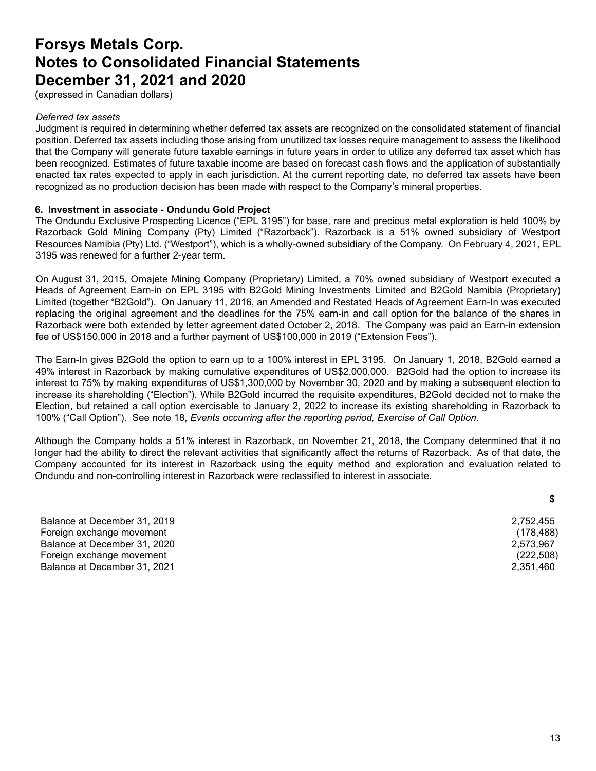(expressed in Canadian dollars)

#### *Deferred tax assets*

Judgment is required in determining whether deferred tax assets are recognized on the consolidated statement of financial position. Deferred tax assets including those arising from unutilized tax losses require management to assess the likelihood that the Company will generate future taxable earnings in future years in order to utilize any deferred tax asset which has been recognized. Estimates of future taxable income are based on forecast cash flows and the application of substantially enacted tax rates expected to apply in each jurisdiction. At the current reporting date, no deferred tax assets have been recognized as no production decision has been made with respect to the Company's mineral properties.

#### **6. Investment in associate - Ondundu Gold Project**

The Ondundu Exclusive Prospecting Licence ("EPL 3195") for base, rare and precious metal exploration is held 100% by Razorback Gold Mining Company (Pty) Limited ("Razorback"). Razorback is a 51% owned subsidiary of Westport Resources Namibia (Pty) Ltd. ("Westport"), which is a wholly-owned subsidiary of the Company. On February 4, 2021, EPL 3195 was renewed for a further 2-year term.

On August 31, 2015, Omajete Mining Company (Proprietary) Limited, a 70% owned subsidiary of Westport executed a Heads of Agreement Earn-in on EPL 3195 with B2Gold Mining Investments Limited and B2Gold Namibia (Proprietary) Limited (together "B2Gold"). On January 11, 2016, an Amended and Restated Heads of Agreement Earn-In was executed replacing the original agreement and the deadlines for the 75% earn-in and call option for the balance of the shares in Razorback were both extended by letter agreement dated October 2, 2018. The Company was paid an Earn-in extension fee of US\$150,000 in 2018 and a further payment of US\$100,000 in 2019 ("Extension Fees").

The Earn-In gives B2Gold the option to earn up to a 100% interest in EPL 3195. On January 1, 2018, B2Gold earned a 49% interest in Razorback by making cumulative expenditures of US\$2,000,000. B2Gold had the option to increase its interest to 75% by making expenditures of US\$1,300,000 by November 30, 2020 and by making a subsequent election to increase its shareholding ("Election"). While B2Gold incurred the requisite expenditures, B2Gold decided not to make the Election, but retained a call option exercisable to January 2, 2022 to increase its existing shareholding in Razorback to 100% ("Call Option"). See note 18, *Events occurring after the reporting period, Exercise of Call Option*.

Although the Company holds a 51% interest in Razorback, on November 21, 2018, the Company determined that it no longer had the ability to direct the relevant activities that significantly affect the returns of Razorback. As of that date, the Company accounted for its interest in Razorback using the equity method and exploration and evaluation related to Ondundu and non-controlling interest in Razorback were reclassified to interest in associate.

| Balance at December 31, 2019 | 2,752,455  |
|------------------------------|------------|
| Foreign exchange movement    | (178, 488) |
| Balance at December 31, 2020 | 2.573.967  |
| Foreign exchange movement    | (222, 508) |
| Balance at December 31, 2021 | 2,351,460  |

**\$**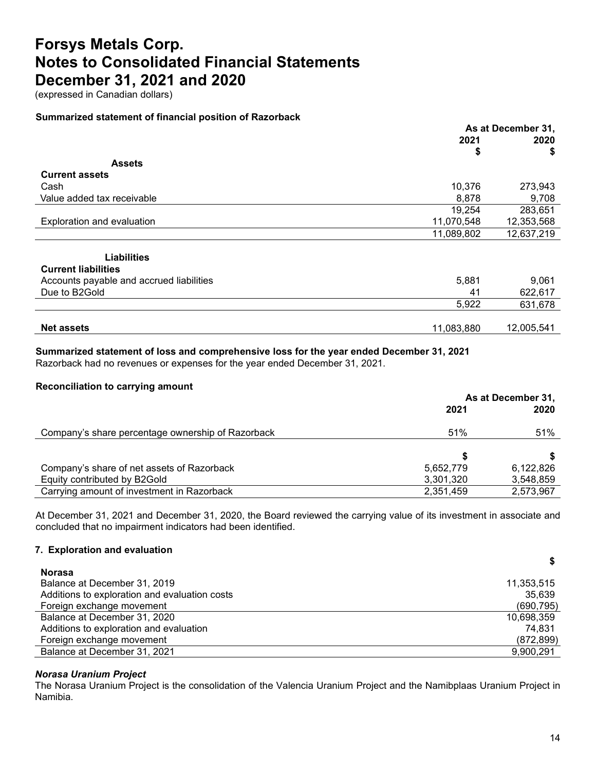(expressed in Canadian dollars)

#### **Summarized statement of financial position of Razorback**

|                                          | As at December 31, |            |  |      |
|------------------------------------------|--------------------|------------|--|------|
|                                          | 2021               |            |  | 2020 |
|                                          | \$                 | \$         |  |      |
| <b>Assets</b>                            |                    |            |  |      |
| <b>Current assets</b>                    |                    |            |  |      |
| Cash                                     | 10,376             | 273,943    |  |      |
| Value added tax receivable               | 8,878              | 9,708      |  |      |
|                                          | 19,254             | 283,651    |  |      |
| Exploration and evaluation               | 11,070,548         | 12,353,568 |  |      |
|                                          | 11,089,802         | 12,637,219 |  |      |
|                                          |                    |            |  |      |
| <b>Liabilities</b>                       |                    |            |  |      |
| <b>Current liabilities</b>               |                    |            |  |      |
| Accounts payable and accrued liabilities | 5,881              | 9,061      |  |      |
| Due to B2Gold                            | 41                 | 622,617    |  |      |
|                                          | 5,922              | 631,678    |  |      |
|                                          |                    |            |  |      |
| <b>Net assets</b>                        | 11,083,880         | 12,005,541 |  |      |
|                                          |                    |            |  |      |

### **Summarized statement of loss and comprehensive loss for the year ended December 31, 2021**

Razorback had no revenues or expenses for the year ended December 31, 2021.

### **Reconciliation to carrying amount**

|                                                   | As at December 31, |           |
|---------------------------------------------------|--------------------|-----------|
|                                                   | 2021               | 2020      |
| Company's share percentage ownership of Razorback | 51%                | 51%       |
|                                                   |                    |           |
| Company's share of net assets of Razorback        | 5,652,779          | 6.122.826 |
| Equity contributed by B2Gold                      | 3,301,320          | 3,548,859 |
| Carrying amount of investment in Razorback        | 2,351,459          | 2,573,967 |

At December 31, 2021 and December 31, 2020, the Board reviewed the carrying value of its investment in associate and concluded that no impairment indicators had been identified.

#### **7. Exploration and evaluation**

| <b>Norasa</b>                                 |            |
|-----------------------------------------------|------------|
| Balance at December 31, 2019                  | 11,353,515 |
| Additions to exploration and evaluation costs | 35,639     |
| Foreign exchange movement                     | (690, 795) |
| Balance at December 31, 2020                  | 10,698,359 |
| Additions to exploration and evaluation       | 74.831     |
| Foreign exchange movement                     | (872, 899) |
| Balance at December 31, 2021                  | 9.900.291  |

### *Norasa Uranium Project*

The Norasa Uranium Project is the consolidation of the Valencia Uranium Project and the Namibplaas Uranium Project in Namibia.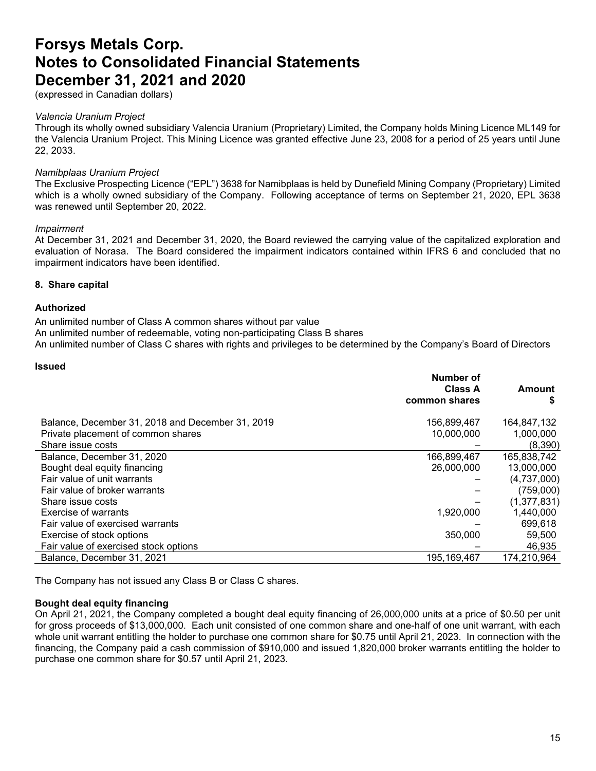(expressed in Canadian dollars)

#### *Valencia Uranium Project*

Through its wholly owned subsidiary Valencia Uranium (Proprietary) Limited, the Company holds Mining Licence ML149 for the Valencia Uranium Project. This Mining Licence was granted effective June 23, 2008 for a period of 25 years until June 22, 2033.

#### *Namibplaas Uranium Project*

The Exclusive Prospecting Licence ("EPL") 3638 for Namibplaas is held by Dunefield Mining Company (Proprietary) Limited which is a wholly owned subsidiary of the Company. Following acceptance of terms on September 21, 2020, EPL 3638 was renewed until September 20, 2022.

#### *Impairment*

At December 31, 2021 and December 31, 2020, the Board reviewed the carrying value of the capitalized exploration and evaluation of Norasa. The Board considered the impairment indicators contained within IFRS 6 and concluded that no impairment indicators have been identified.

#### **8. Share capital**

#### **Authorized**

An unlimited number of Class A common shares without par value

An unlimited number of redeemable, voting non-participating Class B shares

An unlimited number of Class C shares with rights and privileges to be determined by the Company's Board of Directors

#### **Issued**

|                                                  | Number of<br><b>Class A</b><br>common shares | Amount<br>\$  |
|--------------------------------------------------|----------------------------------------------|---------------|
| Balance, December 31, 2018 and December 31, 2019 | 156,899,467                                  | 164,847,132   |
| Private placement of common shares               | 10,000,000                                   | 1,000,000     |
| Share issue costs                                |                                              | (8,390)       |
| Balance, December 31, 2020                       | 166,899,467                                  | 165,838,742   |
| Bought deal equity financing                     | 26,000,000                                   | 13,000,000    |
| Fair value of unit warrants                      |                                              | (4,737,000)   |
| Fair value of broker warrants                    |                                              | (759,000)     |
| Share issue costs                                |                                              | (1, 377, 831) |
| Exercise of warrants                             | 1,920,000                                    | 1,440,000     |
| Fair value of exercised warrants                 |                                              | 699,618       |
| Exercise of stock options                        | 350,000                                      | 59,500        |
| Fair value of exercised stock options            |                                              | 46,935        |
| Balance, December 31, 2021                       | 195, 169, 467                                | 174,210,964   |

The Company has not issued any Class B or Class C shares.

#### **Bought deal equity financing**

On April 21, 2021, the Company completed a bought deal equity financing of 26,000,000 units at a price of \$0.50 per unit for gross proceeds of \$13,000,000. Each unit consisted of one common share and one-half of one unit warrant, with each whole unit warrant entitling the holder to purchase one common share for \$0.75 until April 21, 2023. In connection with the financing, the Company paid a cash commission of \$910,000 and issued 1,820,000 broker warrants entitling the holder to purchase one common share for \$0.57 until April 21, 2023.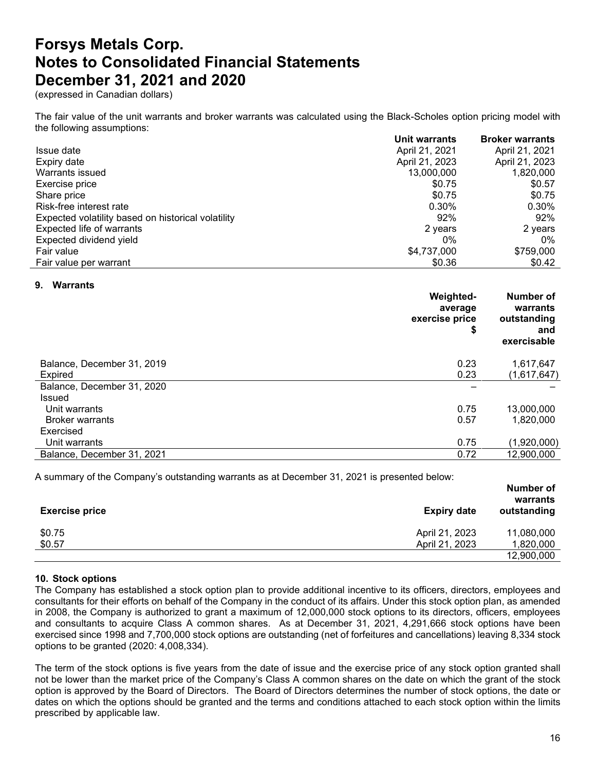(expressed in Canadian dollars)

The fair value of the unit warrants and broker warrants was calculated using the Black-Scholes option pricing model with the following assumptions:

|                                                    | Unit warrants  | <b>Broker warrants</b> |
|----------------------------------------------------|----------------|------------------------|
| Issue date                                         | April 21, 2021 | April 21, 2021         |
| Expiry date                                        | April 21, 2023 | April 21, 2023         |
| Warrants issued                                    | 13,000,000     | 1,820,000              |
| Exercise price                                     | \$0.75         | \$0.57                 |
| Share price                                        | \$0.75         | \$0.75                 |
| Risk-free interest rate                            | 0.30%          | 0.30%                  |
| Expected volatility based on historical volatility | 92%            | 92%                    |
| Expected life of warrants                          | 2 years        | 2 years                |
| Expected dividend yield                            | 0%             | 0%                     |
| Fair value                                         | \$4,737,000    | \$759,000              |
| Fair value per warrant                             | \$0.36         | \$0.42                 |

#### **9. Warrants**

|                            | <b>Weighted-</b><br>average<br>exercise price<br>\$ | Number of<br>warrants<br>outstanding<br>and<br>exercisable |
|----------------------------|-----------------------------------------------------|------------------------------------------------------------|
| Balance, December 31, 2019 | 0.23                                                | 1,617,647                                                  |
| <b>Expired</b>             | 0.23                                                | (1,617,647)                                                |
| Balance, December 31, 2020 |                                                     |                                                            |
| Issued                     |                                                     |                                                            |
| Unit warrants              | 0.75                                                | 13,000,000                                                 |
| <b>Broker warrants</b>     | 0.57                                                | 1,820,000                                                  |
| Exercised                  |                                                     |                                                            |
| Unit warrants              | 0.75                                                | (1,920,000)                                                |
| Balance, December 31, 2021 | 0.72                                                | 12,900,000                                                 |
|                            |                                                     |                                                            |

A summary of the Company's outstanding warrants as at December 31, 2021 is presented below:

| <b>Exercise price</b> | <b>Expiry date</b> | <b>Number of</b><br>warrants<br>outstanding |
|-----------------------|--------------------|---------------------------------------------|
| \$0.75                | April 21, 2023     | 11,080,000                                  |
| \$0.57                | April 21, 2023     | 1,820,000                                   |
|                       |                    | 12,900,000                                  |

#### **10. Stock options**

The Company has established a stock option plan to provide additional incentive to its officers, directors, employees and consultants for their efforts on behalf of the Company in the conduct of its affairs. Under this stock option plan, as amended in 2008, the Company is authorized to grant a maximum of 12,000,000 stock options to its directors, officers, employees and consultants to acquire Class A common shares. As at December 31, 2021, 4,291,666 stock options have been exercised since 1998 and 7,700,000 stock options are outstanding (net of forfeitures and cancellations) leaving 8,334 stock options to be granted (2020: 4,008,334).

The term of the stock options is five years from the date of issue and the exercise price of any stock option granted shall not be lower than the market price of the Company's Class A common shares on the date on which the grant of the stock option is approved by the Board of Directors. The Board of Directors determines the number of stock options, the date or dates on which the options should be granted and the terms and conditions attached to each stock option within the limits prescribed by applicable law.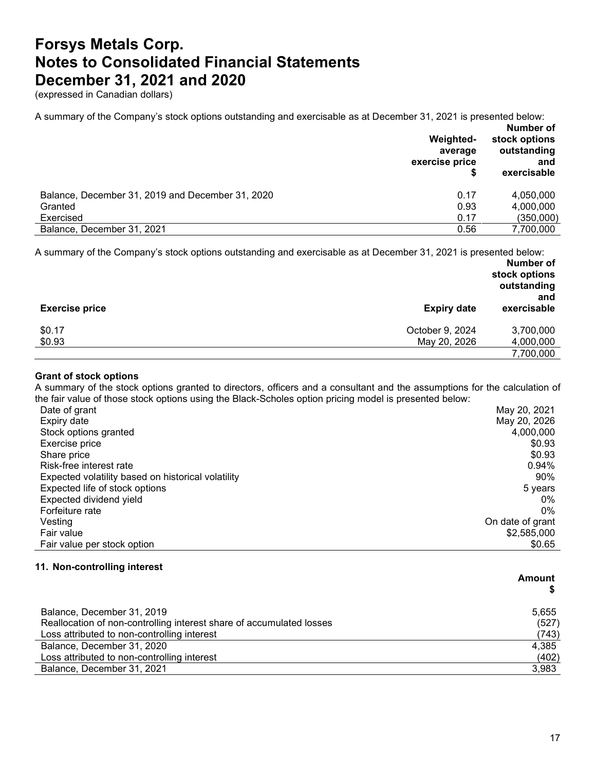(expressed in Canadian dollars)

A summary of the Company's stock options outstanding and exercisable as at December 31, 2021 is presented below:

|                                                  | Weighted-<br>average<br>exercise price<br>\$ | Number of<br>stock options<br>outstanding<br>and<br>exercisable |
|--------------------------------------------------|----------------------------------------------|-----------------------------------------------------------------|
| Balance, December 31, 2019 and December 31, 2020 | 0.17                                         | 4,050,000                                                       |
| Granted                                          | 0.93                                         | 4,000,000                                                       |
| Exercised                                        | 0.17                                         | (350,000)                                                       |
| Balance, December 31, 2021                       | 0.56                                         | 7,700,000                                                       |

A summary of the Company's stock options outstanding and exercisable as at December 31, 2021 is presented below:

|                       |                    | Number of<br>stock options<br>outstanding<br>and |  |
|-----------------------|--------------------|--------------------------------------------------|--|
| <b>Exercise price</b> | <b>Expiry date</b> | exercisable                                      |  |
| \$0.17                | October 9, 2024    | 3,700,000                                        |  |
| \$0.93                | May 20, 2026       | 4,000,000                                        |  |
|                       |                    | 7,700,000                                        |  |

### **Grant of stock options**

A summary of the stock options granted to directors, officers and a consultant and the assumptions for the calculation of the fair value of those stock options using the Black-Scholes option pricing model is presented below:

| Date of grant                                      | May 20, 2021     |
|----------------------------------------------------|------------------|
| Expiry date                                        | May 20, 2026     |
| Stock options granted                              | 4,000,000        |
| Exercise price                                     | \$0.93           |
| Share price                                        | \$0.93           |
| Risk-free interest rate                            | $0.94\%$         |
| Expected volatility based on historical volatility | 90%              |
| Expected life of stock options                     | 5 years          |
| Expected dividend yield                            | $0\%$            |
| Forfeiture rate                                    | 0%               |
| Vesting                                            | On date of grant |
| Fair value                                         | \$2,585,000      |
| Fair value per stock option                        | \$0.65           |

#### **11. Non-controlling interest**

|                                                                      | Amount |  |
|----------------------------------------------------------------------|--------|--|
|                                                                      |        |  |
| Balance, December 31, 2019                                           | 5,655  |  |
| Reallocation of non-controlling interest share of accumulated losses | (527)  |  |
| Loss attributed to non-controlling interest                          | (743)  |  |
| Balance, December 31, 2020                                           | 4,385  |  |
| Loss attributed to non-controlling interest                          | (402)  |  |
| Balance, December 31, 2021                                           | 3,983  |  |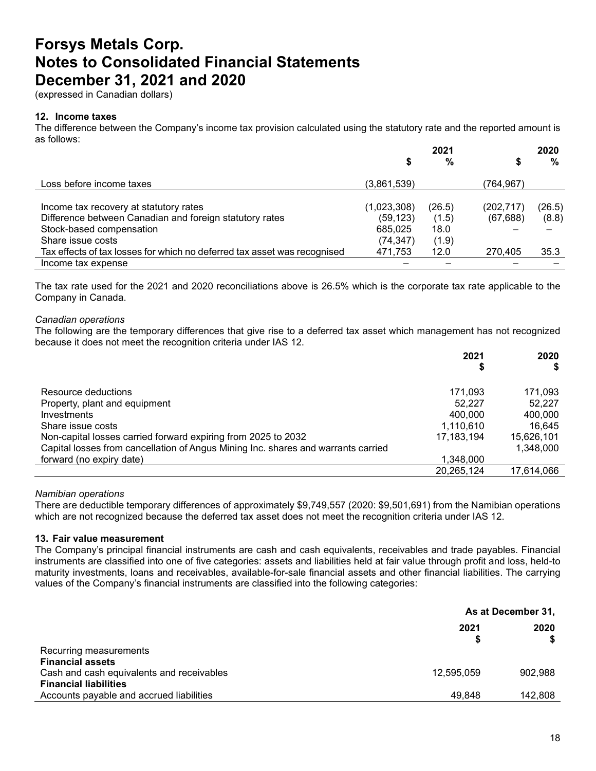(expressed in Canadian dollars)

#### **12. Income taxes**

The difference between the Company's income tax provision calculated using the statutory rate and the reported amount is as follows:

|                                                                          |             | 2021   |            | 2020   |
|--------------------------------------------------------------------------|-------------|--------|------------|--------|
|                                                                          | \$          | %      | S          | %      |
| Loss before income taxes                                                 | (3,861,539) |        | (764, 967) |        |
|                                                                          |             |        |            |        |
| Income tax recovery at statutory rates                                   | (1,023,308) | (26.5) | (202, 717) | (26.5) |
| Difference between Canadian and foreign statutory rates                  | (59, 123)   | (1.5)  | (67, 688)  | (8.8)  |
| Stock-based compensation                                                 | 685,025     | 18.0   |            |        |
| Share issue costs                                                        | (74,347)    | (1.9)  |            |        |
| Tax effects of tax losses for which no deferred tax asset was recognised | 471,753     | 12.0   | 270,405    | 35.3   |
| Income tax expense                                                       |             |        |            |        |

The tax rate used for the 2021 and 2020 reconciliations above is 26.5% which is the corporate tax rate applicable to the Company in Canada.

#### *Canadian operations*

The following are the temporary differences that give rise to a deferred tax asset which management has not recognized because it does not meet the recognition criteria under IAS 12.

|                                                                                   | 2021         | 2020       |
|-----------------------------------------------------------------------------------|--------------|------------|
|                                                                                   |              |            |
| Resource deductions                                                               | 171.093      | 171.093    |
| Property, plant and equipment                                                     | 52.227       | 52.227     |
| Investments                                                                       | 400.000      | 400,000    |
| Share issue costs                                                                 | 1,110,610    | 16,645     |
| Non-capital losses carried forward expiring from 2025 to 2032                     | 17, 183, 194 | 15,626,101 |
| Capital losses from cancellation of Angus Mining Inc. shares and warrants carried |              | 1.348.000  |
| forward (no expiry date)                                                          | 1.348.000    |            |
|                                                                                   | 20,265,124   | 17,614,066 |

#### *Namibian operations*

There are deductible temporary differences of approximately \$9,749,557 (2020: \$9,501,691) from the Namibian operations which are not recognized because the deferred tax asset does not meet the recognition criteria under IAS 12.

#### **13. Fair value measurement**

The Company's principal financial instruments are cash and cash equivalents, receivables and trade payables. Financial instruments are classified into one of five categories: assets and liabilities held at fair value through profit and loss, held-to maturity investments, loans and receivables, available-for-sale financial assets and other financial liabilities. The carrying values of the Company's financial instruments are classified into the following categories:

|                                           | As at December 31, |         |
|-------------------------------------------|--------------------|---------|
|                                           | 2021               | 2020    |
| Recurring measurements                    |                    |         |
| <b>Financial assets</b>                   |                    |         |
| Cash and cash equivalents and receivables | 12,595,059         | 902,988 |
| <b>Financial liabilities</b>              |                    |         |
| Accounts payable and accrued liabilities  | 49.848             | 142,808 |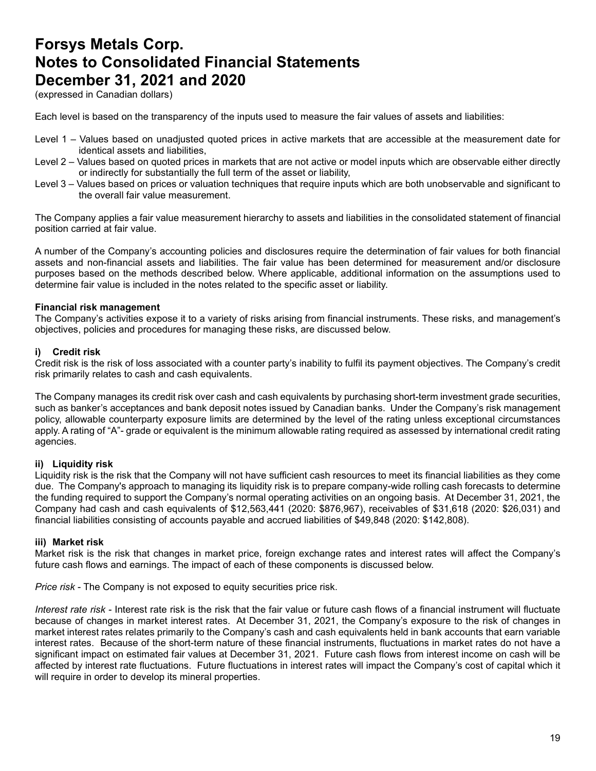(expressed in Canadian dollars)

Each level is based on the transparency of the inputs used to measure the fair values of assets and liabilities:

- Level 1 Values based on unadjusted quoted prices in active markets that are accessible at the measurement date for identical assets and liabilities,
- Level 2 Values based on quoted prices in markets that are not active or model inputs which are observable either directly or indirectly for substantially the full term of the asset or liability,
- Level 3 Values based on prices or valuation techniques that require inputs which are both unobservable and significant to the overall fair value measurement.

The Company applies a fair value measurement hierarchy to assets and liabilities in the consolidated statement of financial position carried at fair value.

A number of the Company's accounting policies and disclosures require the determination of fair values for both financial assets and non-financial assets and liabilities. The fair value has been determined for measurement and/or disclosure purposes based on the methods described below. Where applicable, additional information on the assumptions used to determine fair value is included in the notes related to the specific asset or liability.

#### **Financial risk management**

The Company's activities expose it to a variety of risks arising from financial instruments. These risks, and management's objectives, policies and procedures for managing these risks, are discussed below.

#### **i) Credit risk**

Credit risk is the risk of loss associated with a counter party's inability to fulfil its payment objectives. The Company's credit risk primarily relates to cash and cash equivalents.

The Company manages its credit risk over cash and cash equivalents by purchasing short-term investment grade securities, such as banker's acceptances and bank deposit notes issued by Canadian banks. Under the Company's risk management policy, allowable counterparty exposure limits are determined by the level of the rating unless exceptional circumstances apply. A rating of "A"- grade or equivalent is the minimum allowable rating required as assessed by international credit rating agencies.

### **ii) Liquidity risk**

Liquidity risk is the risk that the Company will not have sufficient cash resources to meet its financial liabilities as they come due. The Company's approach to managing its liquidity risk is to prepare company-wide rolling cash forecasts to determine the funding required to support the Company's normal operating activities on an ongoing basis. At December 31, 2021, the Company had cash and cash equivalents of \$12,563,441 (2020: \$876,967), receivables of \$31,618 (2020: \$26,031) and financial liabilities consisting of accounts payable and accrued liabilities of \$49,848 (2020: \$142,808).

### **iii) Market risk**

Market risk is the risk that changes in market price, foreign exchange rates and interest rates will affect the Company's future cash flows and earnings. The impact of each of these components is discussed below.

*Price risk* - The Company is not exposed to equity securities price risk.

*Interest rate risk -* Interest rate risk is the risk that the fair value or future cash flows of a financial instrument will fluctuate because of changes in market interest rates. At December 31, 2021, the Company's exposure to the risk of changes in market interest rates relates primarily to the Company's cash and cash equivalents held in bank accounts that earn variable interest rates. Because of the short-term nature of these financial instruments, fluctuations in market rates do not have a significant impact on estimated fair values at December 31, 2021. Future cash flows from interest income on cash will be affected by interest rate fluctuations. Future fluctuations in interest rates will impact the Company's cost of capital which it will require in order to develop its mineral properties.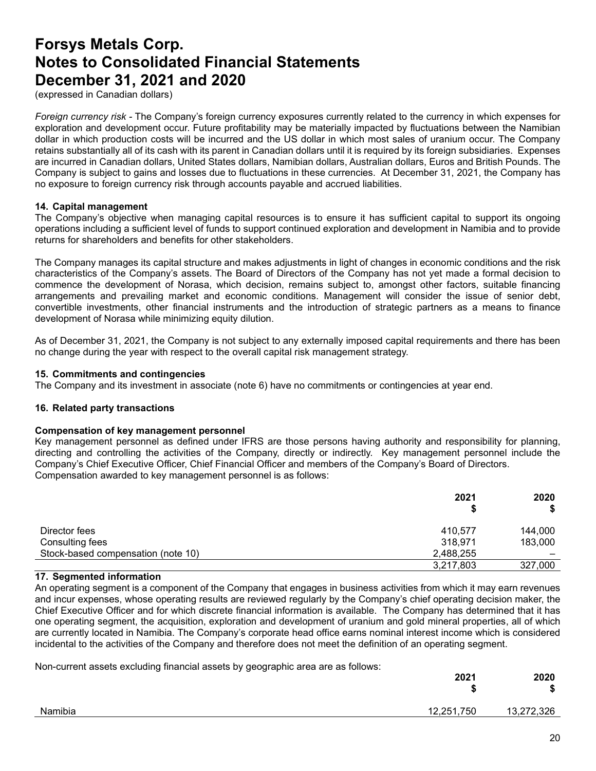(expressed in Canadian dollars)

*Foreign currency risk -* The Company's foreign currency exposures currently related to the currency in which expenses for exploration and development occur. Future profitability may be materially impacted by fluctuations between the Namibian dollar in which production costs will be incurred and the US dollar in which most sales of uranium occur. The Company retains substantially all of its cash with its parent in Canadian dollars until it is required by its foreign subsidiaries. Expenses are incurred in Canadian dollars, United States dollars, Namibian dollars, Australian dollars, Euros and British Pounds. The Company is subject to gains and losses due to fluctuations in these currencies. At December 31, 2021, the Company has no exposure to foreign currency risk through accounts payable and accrued liabilities.

#### **14. Capital management**

The Company's objective when managing capital resources is to ensure it has sufficient capital to support its ongoing operations including a sufficient level of funds to support continued exploration and development in Namibia and to provide returns for shareholders and benefits for other stakeholders.

The Company manages its capital structure and makes adjustments in light of changes in economic conditions and the risk characteristics of the Company's assets. The Board of Directors of the Company has not yet made a formal decision to commence the development of Norasa, which decision, remains subject to, amongst other factors, suitable financing arrangements and prevailing market and economic conditions. Management will consider the issue of senior debt, convertible investments, other financial instruments and the introduction of strategic partners as a means to finance development of Norasa while minimizing equity dilution.

As of December 31, 2021, the Company is not subject to any externally imposed capital requirements and there has been no change during the year with respect to the overall capital risk management strategy.

#### **15. Commitments and contingencies**

The Company and its investment in associate (note 6) have no commitments or contingencies at year end.

### **16. Related party transactions**

#### **Compensation of key management personnel**

Key management personnel as defined under IFRS are those persons having authority and responsibility for planning, directing and controlling the activities of the Company, directly or indirectly. Key management personnel include the Company's Chief Executive Officer, Chief Financial Officer and members of the Company's Board of Directors. Compensation awarded to key management personnel is as follows:

|                                    | 2021      | 2020<br>\$ |
|------------------------------------|-----------|------------|
| Director fees                      | 410,577   | 144,000    |
| Consulting fees                    | 318,971   | 183,000    |
| Stock-based compensation (note 10) | 2,488,255 |            |
|                                    | 3,217,803 | 327,000    |

### **17. Segmented information**

An operating segment is a component of the Company that engages in business activities from which it may earn revenues and incur expenses, whose operating results are reviewed regularly by the Company's chief operating decision maker, the Chief Executive Officer and for which discrete financial information is available. The Company has determined that it has one operating segment, the acquisition, exploration and development of uranium and gold mineral properties, all of which are currently located in Namibia. The Company's corporate head office earns nominal interest income which is considered incidental to the activities of the Company and therefore does not meet the definition of an operating segment.

Non-current assets excluding financial assets by geographic area are as follows:

|         | 2021       | 2020<br>-0 |
|---------|------------|------------|
| Namibia | 12,251,750 | 13,272,326 |